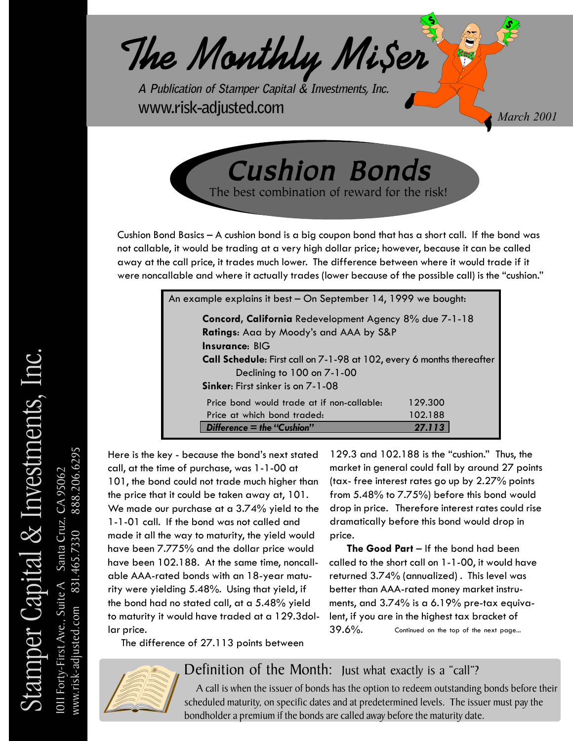

Cushion Bonds Cushion Bonds The best combination of reward for the risk!

Cushion Bond Basics – A cushion bond is a big coupon bond that has a short call. If the bond was not callable, it would be trading at a very high dollar price; however, because it can be called away at the call price, it trades much lower. The difference between where it would trade if it were noncallable and where it actually trades (lower because of the possible call) is the "cushion."

| An example explains it best - On September 14, 1999 we bought:        |         |  |  |  |  |
|-----------------------------------------------------------------------|---------|--|--|--|--|
| Concord, California Redevelopment Agency 8% due 7-1-18                |         |  |  |  |  |
| Ratings: Aaa by Moody's and AAA by S&P                                |         |  |  |  |  |
| Insurance: BIG                                                        |         |  |  |  |  |
| Call Schedule: First call on 7-1-98 at 102, every 6 months thereafter |         |  |  |  |  |
| Declining to 100 on 7-1-00                                            |         |  |  |  |  |
| Sinker: First sinker is on 7-1-08                                     |         |  |  |  |  |
| Price bond would trade at if non-callable:                            | 129.300 |  |  |  |  |
| Price at which bond traded:                                           | 102.188 |  |  |  |  |
| Difference $=$ the "Cushion"                                          | 27.113  |  |  |  |  |

Here is the key - because the bond's next stated call, at the time of purchase, was 1-1-00 at 101, the bond could not trade much higher than the price that it could be taken away at, 101. We made our purchase at a 3.74% yield to the 1-1-01 call. If the bond was not called and made it all the way to maturity, the yield would have been 7.775% and the dollar price would have been 102.188. At the same time, noncallable AAA-rated bonds with an 18-year maturity were yielding 5.48%. Using that yield, if the bond had no stated call, at a 5.48% yield to maturity it would have traded at a 129.3dollar price.

129.3 and 102.188 is the "cushion." Thus, the market in general could fall by around 27 points (tax- free interest rates go up by 2.27% points from 5.48% to 7.75%) before this bond would drop in price. Therefore interest rates could rise dramatically before this bond would drop in price.

 **The Good Part** – If the bond had been called to the short call on 1-1-00, it would have returned 3.74% (annualized) . This level was better than AAA-rated money market instruments, and 3.74% is a 6.19% pre-tax equivalent, if you are in the highest tax bracket of  $39.6\%$ . Continued on the top of the next page...

The difference of 27.113 points between



Definition of the Month: Just what exactly is a "call"?

 A call is when the issuer of bonds has the option to redeem outstanding bonds before their scheduled maturity, on specific dates and at predetermined levels. The issuer must pay the bondholder a premium if the bonds are called away before the maturity date.

www.risk-adjusted.com 831.465.7330 888.206.6295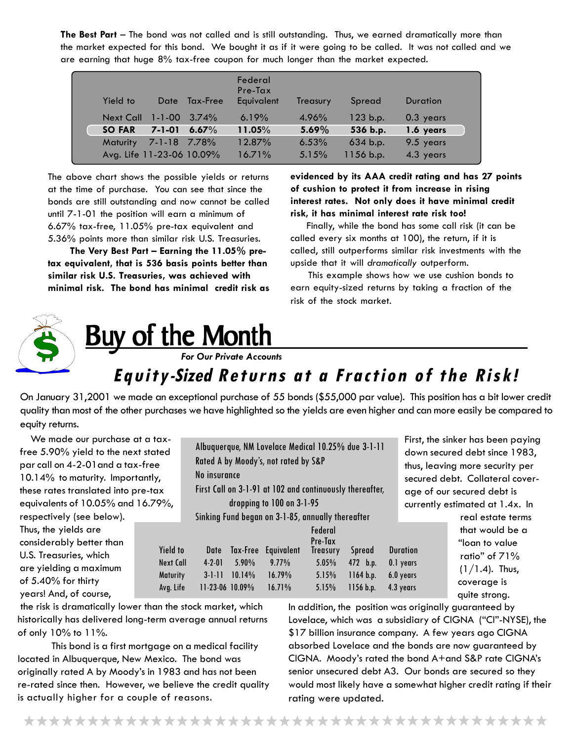**The Best Part** – The bond was not called and is still outstanding. Thus, we earned dramatically more than the market expected for this bond. We bought it as if it were going to be called. It was not called and we are earning that huge 8% tax-free coupon for much longer than the market expected.

| Yield to         |                           | Date Tax-Free | Federal<br>$Pre-Tax$<br>Equivalent | Treasury | Spread    | <b>Duration</b> |
|------------------|---------------------------|---------------|------------------------------------|----------|-----------|-----------------|
| <b>Next Call</b> | $1 - 1 - 00$              | $3.74\%$      | 6.19%                              | 4.96%    | 123 b.p.  | 0.3 years       |
| <b>SO FAR</b>    | $7 - 1 - 01$              | 6.67%         | 11.05%                             | 5.69%    | 536 b.p.  | 1.6 years       |
| <b>Maturity</b>  | 7-1-18 7.78%              |               | 12.87%                             | 6.53%    | 634 b.p.  | 9.5 years       |
|                  | Avg. Life 11-23-06 10.09% |               | 16.71%                             | 5.15%    | 1156 b.p. | 4.3 years       |

The above chart shows the possible yields or returns at the time of purchase. You can see that since the bonds are still outstanding and now cannot be called until 7-1-01 the position will earn a minimum of 6.67% tax-free, 11.05% pre-tax equivalent and 5.36% points more than similar risk U.S. Treasuries.

 **The Very Best Part – Earning the 11.05% pretax equivalent, that is 536 basis points better than similar risk U.S. Treasuries, was achieved with minimal risk. The bond has minimal credit risk as** **evidenced by its AAA credit rating and has 27 points of cushion to protect it from increase in rising interest rates. Not only does it have minimal credit risk, it has minimal interest rate risk too!**

 Finally, while the bond has some call risk (it can be called every six months at 100), the return, if it is called, still outperforms similar risk investments with the upside that it will *dramatically* outperform.

 This example shows how we use cushion bonds to earn equity-sized returns by taking a fraction of the risk of the stock market.



# Buy of the Month **Buy of the Month**

 *For Our Private Accounts*

## **Equity-Sized Returns at a Fraction of the Risk!**

On January 31,2001 we made an exceptional purchase of 55 bonds (\$55,000 par value). This position has a bit lower credit quality than most of the other purchases we have highlighted so the yields are even higher and can more easily be compared to equity returns.

We made our purchase at a taxfree 5.90% yield to the next stated par call on 4-2-01and a tax-free 10.14% to maturity. Importantly, these rates translated into pre-tax equivalents of 10.05% and 16.79%, respectively (see below). Thus, the yields are considerably better than U.S. Treasuries, which are yielding a maximum of 5.40% for thirty years! And, of course,

| ed<br>è.<br>$\mathbf{r}$ | No insurance    |          | Albuquerque, NM Lovelace Medical 10.25% due 3-1-11<br>Rated A by Moody's, not rated by S&P |                                       |               | .<br>do <sup>,</sup><br>thu<br>sec |
|--------------------------|-----------------|----------|--------------------------------------------------------------------------------------------|---------------------------------------|---------------|------------------------------------|
| x                        |                 |          | First Call on 3-1-91 at 102 and continuously thereafter,                                   |                                       |               | ag                                 |
| 9%,                      |                 |          | dropping to 100 on 3-1-95                                                                  |                                       |               | cur                                |
|                          |                 |          | Sinking Fund began on 3-1-85, annually thereafter                                          |                                       |               |                                    |
| <b>Yield to</b>          | Date            | Tax-Free | Equivalent                                                                                 | Federal<br>Pre-Tax<br><b>Treasury</b> | <b>Spread</b> | <b>Duration</b>                    |
| <b>Next Call</b>         | $4 - 2 - 01$    | $5.90\%$ | $9.77\%$                                                                                   | 5.05%                                 | 472 b.p.      | 0.1 years                          |
| <b>Maturity</b>          | $3 - 1 - 11$    | 10.14%   | 16.79%                                                                                     | 5.15%                                 | 1164 b.p.     | 6.0 years                          |
| Avg. Life                | 11-23-06 10.09% |          | 16.71%                                                                                     | 5.15%                                 | 1156 b.p.     | 4.3 years                          |
|                          |                 |          |                                                                                            |                                       |               |                                    |

First, the sinker has been paying down secured debt since 1983, thus, leaving more security per secured debt. Collateral coverage of our secured debt is currently estimated at 1.4x. In

 real estate terms that would be a <sup>"</sup>loan to value"<br>"  $rac{10}{\text{qrs}}$  ratio" of 71%  $\frac{1}{\pi}$  (1/1.4). Thus, coverage is quite strong.

 the risk is dramatically lower than the stock market, which historically has delivered long-term average annual returns of only 10% to 11%.

This bond is a first mortgage on a medical facility located in Albuquerque, New Mexico. The bond was originally rated A by Moody's in 1983 and has not been re-rated since then. However, we believe the credit quality is actually higher for a couple of reasons.

In addition, the position was originally guaranteed by Lovelace, which was a subsidiary of CIGNA ("CI"-NYSE), the \$17 billion insurance company. A few years ago CIGNA absorbed Lovelace and the bonds are now guaranteed by CIGNA. Moody's rated the bond A+and S&P rate CIGNA's senior unsecured debt A3. Our bonds are secured so they would most likely have a somewhat higher credit rating if their rating were updated.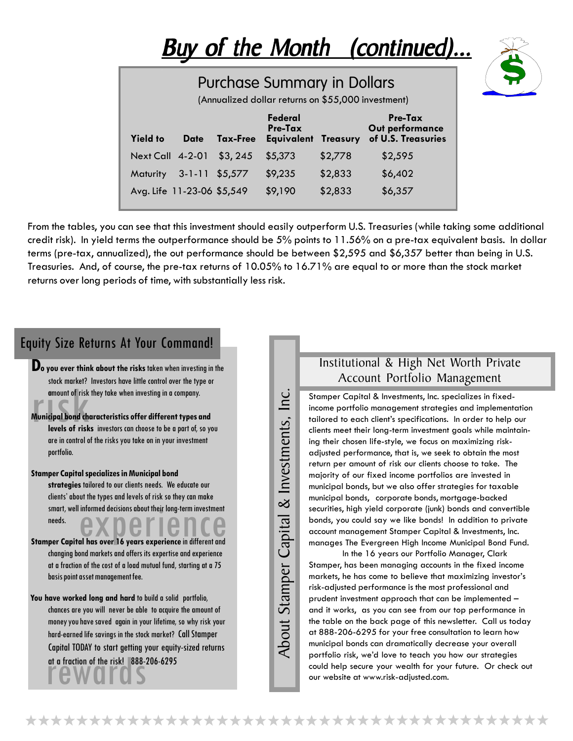

From the tables, you can see that this investment should easily outperform U.S. Treasuries (while taking some additional credit risk). In yield terms the outperformance should be 5% points to 11.56% on a pre-tax equivalent basis. In dollar terms (pre-tax, annualized), the out performance should be between \$2,595 and \$6,357 better than being in U.S. Treasuries. And, of course, the pre-tax returns of 10.05% to 16.71% are equal to or more than the stock market returns over long periods of time, with substantially less risk.

#### Equity Size Returns At Your Command!

- **Do you ever think about the risks** taken when investing in the stock market? Investors have little control over the type or amount of risk they take when investing in a company.
- amount of risk<br>amount of risk<br>Municipal bond ch<br>levels of risk **Municipal bond characteristics offer different types and levels of risks** investors can choose to be a part of, so you are in control of the risks you take on in your investment portfolio.
- **Stamper Capital specializes in Municipal bond**

smart, well informed decisions about their long-term investment<br>needs.<br>per Capital has over 16 years experience in different and **strategies** tailored to our clients needs. We educate our clients' about the types and levels of risk so they can make needs.

- **Stamper Capital has over 16 years experience** in different and changing bond markets and offers its expertise and experience at a fraction of the cost of a load mutual fund, starting at a 75 basis point asset management fee.
- **You have worked long and hard** to build a solid portfolio, chances are you will never be able to acquire the amount of money you have saved again in your lifetime, so why risk your hard-earned life savings in the stock market? Call Stamper Capital TODAY to start getting your equity-sized returns at a fraction of the risk! 888-206-6295

 $\overline{\ln}$ About Stamper Capital & Investments, Inc. About Stamper Capital & Investments,

#### Institutional & High Net Worth Private Account Portfolio Management

Stamper Capital & Investments, Inc. specializes in fixedincome portfolio management strategies and implementation tailored to each client's specifications. In order to help our clients meet their long-term investment goals while maintaining their chosen life-style, we focus on maximizing riskadjusted performance, that is, we seek to obtain the most return per amount of risk our clients choose to take. The majority of our fixed income portfolios are invested in municipal bonds, but we also offer strategies for taxable municipal bonds, corporate bonds, mortgage-backed securities, high yield corporate (junk) bonds and convertible bonds, you could say we like bonds! In addition to private account management Stamper Capital & Investments, Inc. manages The Evergreen High Income Municipal Bond Fund.

In the 16 years our Portfolio Manager, Clark Stamper, has been managing accounts in the fixed income markets, he has come to believe that maximizing investor's risk-adjusted performance is the most professional and prudent investment approach that can be implemented – and it works, as you can see from our top performance in the table on the back page of this newsletter. Call us today at 888-206-6295 for your free consultation to learn how municipal bonds can dramatically decrease your overall portfolio risk, we'd love to teach you how our strategies could help secure your wealth for your future. Or check out our website at www.risk-adjusted.com.